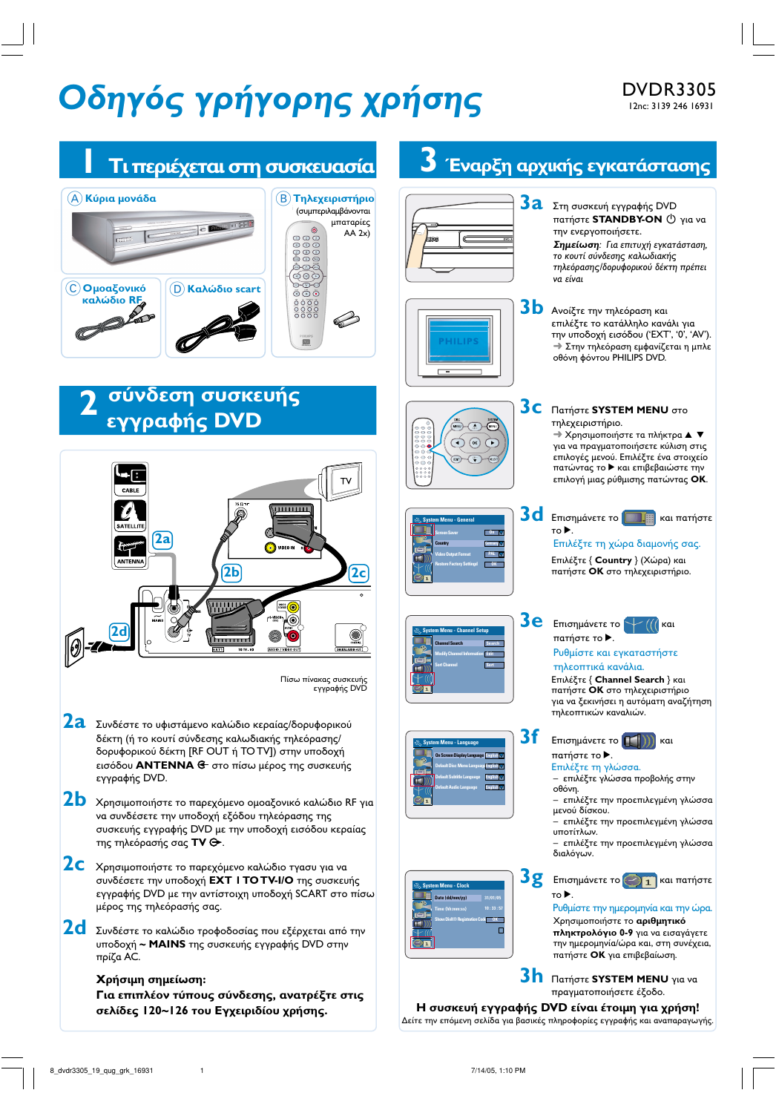# **Οδηγός γρήγορης χρήσης** DVDR3305

## DVDR3305

#### $\frac{1}{\sqrt{3}}$  Έναρξη αρχικής εγκατάστασης **1 Tι περιέχεται στη συσκευασία**  $\Omega$  Κύρια μονάδα Κύρια μονάδα <u>του του τηλεχειριστήριο</u> **3a** Στη συσκευή εγγραφής DVD (συμπεριλαμβάνονται **πατήστε STANDBY-ON**  $\bigcirc$  για να μπαταρίες **Billet 22**  $c$  $\blacksquare$  $AA$  2x) την ενεργοποιήσετε. 0000<br>0000 **Σημείωση**: Για επιτυχή εγκατάσταση, το κουτί σύνδεσης καλωδιακής τηλεόρασης/δορυφορικού δέκτη πρέπει 0Ç να είναι  $\begin{array}{c} \hline \bigodot \ \textsf{O} \textsf{µoa}$ ξονικό<br>**καλώδιο RF Scart cable -/ scart** ෧෧ඁ෧ඁ *RE*<br> *<u><i><u></u>*</u>  $3\,$ **b** Ανοίξτε την τηλεόραση και  $0000$ J επιλέξτε το κατάλληλο κανάλι για την υποδοχή εισόδου ('EXT', '0', 'AV'). → Στην τηλεόραση εμφανίζεται η μπλε οθόνη φόντου PHILIPS DVD. σύνδεση συσκευής  **2 3C** Πατήστε SYSTEM MENU στο *εγγραφής DVD* τηλεχειριστήριο. <del>→</del> Χρησιμοποιήστε τα πλήκτρα ▲ ▼  $(x)$ για να πραγματοποιήσετε κύλιση στις επιλογές μενού. Επιλέξτε ένα στοιχείο πατώντας το > και επιβεβαιώστε την  $\blacksquare$ επιλογή μιας ρύθμισης πατώντας **ΟΚ**. Tν Ú  $\overline{\mathbf{3d}}$  **Eπισημάνετε το**  $\boxed{\blacksquare\blacksquare}$  και πατήστε **System Menu - General** SATELLITE  $To \triangleright$ . **Screen Saver On 2a** Επιλέξτε τη χώρα διαμονής σας.  $\overline{\mathfrak{h}}$ O VIDEO II **Country Germany Video Output Format PAL Επιλέξτε { Country } (Χώρα) και Restore Factory Settingd 2b 2c** πατήστε ΟΚ στο τηλεχειριστήριο.  $3e$  Emionµávete to  $\sqrt{\left(\right|\right|}$  Kal **2d System Menu - Channel Setup** πατήστε το **>**. **Channel Search Search** Ρυθμίστε και εγκαταστήστε **Modify Channel Information Edit** τηλεοπτικά κανάλια. **Sort Channel Sort** Eπιλέξτε { Channel Search } και Πίσω πίνακας συσκευής εγγραφής DVD πατήστε **OK** στο τηλεχειριστήριο για να ξεκινήσει η αυτόματη αναζήτηση τηλεοπτικών καναλιών. **2a** Συνδέστε το υφιστάμενο καλώδιο κεραίας/δορυφορικού  $3f$  Ethion May et E To  $\Box$ )  $\Box$  Kal δέκτη (ή το κουτί σύνδεσης καλωδιακής τηλεόρασης/ **System Menu - Language** δορυφορικού δέκτη [RF OUT ή TO TV]) στην υποδοχή πατήστε το  $\blacktriangleright$ . **On Screen Display Language English** εισόδου **ANTENNA <del>G·</del> στο πίσω μέρος της συσκευής** Επιλέξτε τη γλώσσα. **Default Disc Menu Language English** εγγραφής DVD. επιλέξτε γλώσσα προβολής στην **Default Subtitle Language English** οθόνη. **Default Audio Language English**  $2{\bf b}$  χρησιμοποιήστε το παρεχόμενο ομοαξονικό καλώδιο RF για – επιλέξτε την προεπιλεγμένη γλώσσα μενού δίσκου. να συνδέσετε την υποδοχή εξόδου τηλεόρασης της – επιλέξτε την προεπιλεγμένη γλώσσα συσκευής εγγραφής DVD με την υποδοχή εισόδου κεραίας υποτίτλων. της τηλεόρασής σας TV Θ. – επιλέξτε την προεπιλεγμένη γλώσσ<mark>α</mark> διαλόγων. **2C** Χρησιμοποιήστε το παρεχόμενο καλώδιο τγασυ για να **3g** Eπισημάνετε το  $\bigodot$  **1** και πατήστε συνδέσετε την υποδοχή **EXT I TO TV-I/Ο** της συσκευής **System Menu - Clock**  $To \blacktriangleright$ . εγγραφής DVD με την αντίστοιχη υποδοχή SCART στο πίσω **Date (dd/mm/yy) 31/01/05** μέρος της τηλεόρασής σας. Ρυθμίστε την ημερομηνία και την ώρα. **Time (hh:mm:ss} 10 : 33 : 57 Χρησιμοποιήστε το <b>αριθμητικό 2d** Συνδέστε το καλώδιο τροφοδοσίας που εξέρχεται από την **Show DivX® Registration Code πληκτρολόγιο 0-9** για να εισαγάγετε την ημερομηνία/ώρα και, στη συνέχεια, υποδοχή **~ MAINS** της συσκευής εγγραφής DVD στην πατήστε ΟΚ για επιβεβαίωση. πρίζα AC. **3h** Πατήστε SYSTEM MENU για να Χρήσιμη σημείωση: πραγματοποιήσετε έξοδο. Για επιπλέον τύπους σύνδεσης, ανατρέξτε στις Η συσκευή εγγραφής DVD είναι έτοιμη για χρήση! σελίδες 120~126 του Εγχειριδίου χρήσης. Δείτε την επόμενη σελίδα για βασικές πληροφορίες εγγραφής και αναπαραγωγής.